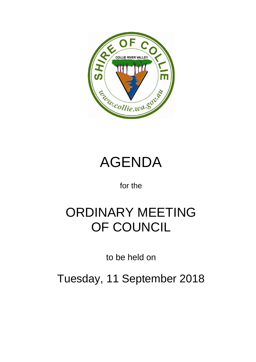



for the

# ORDINARY MEETING OF COUNCIL

to be held on

Tuesday, 11 September 2018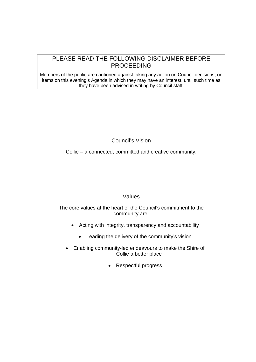## PLEASE READ THE FOLLOWING DISCLAIMER BEFORE PROCEEDING

Members of the public are cautioned against taking any action on Council decisions, on items on this evening's Agenda in which they may have an interest, until such time as they have been advised in writing by Council staff.

## Council's Vision

Collie – a connected, committed and creative community.

## Values

The core values at the heart of the Council's commitment to the community are:

- Acting with integrity, transparency and accountability
	- Leading the delivery of the community's vision
- Enabling community-led endeavours to make the Shire of Collie a better place
	- Respectful progress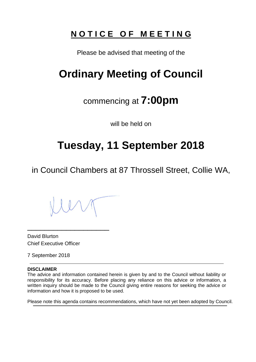## **N O T I C E O F M E E T I N G**

Please be advised that meeting of the

## **Ordinary Meeting of Council**

## commencing at **7:00pm**

will be held on

## **Tuesday, 11 September 2018**

in Council Chambers at 87 Throssell Street, Collie WA,

\_\_\_\_\_\_\_\_\_\_\_\_\_\_\_\_\_\_\_

David Blurton Chief Executive Officer

7 September 2018

### **DISCLAIMER**

The advice and information contained herein is given by and to the Council without liability or responsibility for its accuracy. Before placing any reliance on this advice or information, a written inquiry should be made to the Council giving entire reasons for seeking the advice or information and how it is proposed to be used.

Please note this agenda contains recommendations, which have not yet been adopted by Council.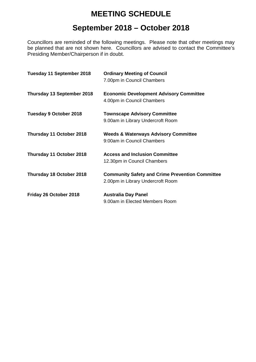## **MEETING SCHEDULE**

## **September 2018 – October 2018**

Councillors are reminded of the following meetings. Please note that other meetings may be planned that are not shown here. Councillors are advised to contact the Committee's Presiding Member/Chairperson if in doubt.

| Tuesday 11 September 2018     | <b>Ordinary Meeting of Council</b><br>7.00pm in Council Chambers                            |
|-------------------------------|---------------------------------------------------------------------------------------------|
| Thursday 13 September 2018    | <b>Economic Development Advisory Committee</b><br>4.00pm in Council Chambers                |
| <b>Tuesday 9 October 2018</b> | <b>Townscape Advisory Committee</b><br>9.00am in Library Undercroft Room                    |
| Thursday 11 October 2018      | <b>Weeds &amp; Waterways Advisory Committee</b><br>9:00am in Council Chambers               |
| Thursday 11 October 2018      | <b>Access and Inclusion Committee</b><br>12.30pm in Council Chambers                        |
| Thursday 18 October 2018      | <b>Community Safety and Crime Prevention Committee</b><br>2.00pm in Library Undercroft Room |
| Friday 26 October 2018        | <b>Australia Day Panel</b><br>9.00am in Elected Members Room                                |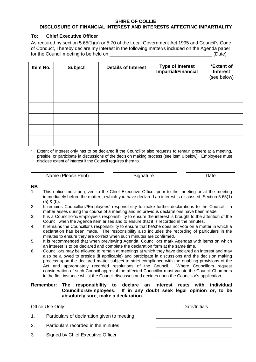#### **SHIRE OF COLLIE DISCLOSURE OF FINANCIAL INTEREST AND INTERESTS AFFECTING IMPARTIALITY**

#### **To: Chief Executive Officer**

As required by section 5.65(1)(a) or 5.70 of the Local Government Act 1995 and Council's Code of Conduct, I hereby declare my interest in the following matter/s included on the Agenda paper for the Council meeting to be held on \_\_\_\_\_\_\_\_\_\_\_\_\_\_\_\_\_\_\_\_\_\_\_\_\_\_\_\_\_\_\_\_\_\_\_\_\_\_\_ (Date)

| Item No. | <b>Subject</b> | <b>Details of Interest</b> | Type of Interest<br>Impartial/Financial | *Extent of<br><b>Interest</b><br>(see below) |
|----------|----------------|----------------------------|-----------------------------------------|----------------------------------------------|
|          |                |                            |                                         |                                              |
|          |                |                            |                                         |                                              |
|          |                |                            |                                         |                                              |
|          |                |                            |                                         |                                              |
|          |                |                            |                                         |                                              |
|          |                |                            |                                         |                                              |

Extent of Interest only has to be declared if the Councillor also requests to remain present at a meeting, preside, or participate in discussions of the decision making process (see item 6 below). Employees must disclose extent of interest if the Council requires them to.

Name (Please Print) Signature Signature Date

#### **NB**

- 1. This notice must be given to the Chief Executive Officer prior to the meeting or at the meeting immediately before the matter in which you have declared an interest is discussed, Section 5.65(1)  $(a)$  &  $(b)$ .
- 2. It remains Councillors'/Employees' responsibility to make further declarations to the Council if a matter arises during the course of a meeting and no previous declarations have been made.
- 3. It is a Councillor's/Employee's responsibility to ensure the interest is brought to the attention of the Council when the Agenda item arises and to ensure that it is recorded in the minutes.
- 4. It remains the Councillor's responsibility to ensure that he/she does not vote on a matter in which a declaration has been made. The responsibility also includes the recording of particulars in the minutes to ensure they are correct when such minutes are confirmed.
- 5. It is recommended that when previewing Agenda, Councillors mark Agendas with items on which an interest is to be declared and complete the declaration form at the same time.
- 6. Councillors may be allowed to remain at meetings at which they have declared an interest and may also be allowed to preside (if applicable) and participate in discussions and the decision making process upon the declared matter subject to strict compliance with the enabling provisions of the Act and appropriately recorded resolutions of the Council. Where Councillors request consideration of such Council approval the affected Councillor must vacate the Council Chambers in the first instance whilst the Council discusses and decides upon the Councillor's application.

#### **Remember: The responsibility to declare an interest rests with individual Councillors/Employees. If in any doubt seek legal opinion or, to be absolutely sure, make a declaration.**

|    | Office Use Only:                            | Date/Initials |
|----|---------------------------------------------|---------------|
| 1. | Particulars of declaration given to meeting |               |
| 2. | Particulars recorded in the minutes         |               |
| 3. | Signed by Chief Executive Officer           |               |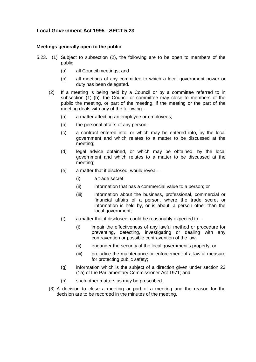### **Local Government Act 1995 - SECT 5.23**

#### **Meetings generally open to the public**

- 5.23. (1) Subject to subsection (2), the following are to be open to members of the public
	- (a) all Council meetings; and
	- (b) all meetings of any committee to which a local government power or duty has been delegated.
	- (2) If a meeting is being held by a Council or by a committee referred to in subsection (1) (b), the Council or committee may close to members of the public the meeting, or part of the meeting, if the meeting or the part of the meeting deals with any of the following --
		- (a) a matter affecting an employee or employees;
		- (b) the personal affairs of any person;
		- (c) a contract entered into, or which may be entered into, by the local government and which relates to a matter to be discussed at the meeting;
		- (d) legal advice obtained, or which may be obtained, by the local government and which relates to a matter to be discussed at the meeting;
		- (e) a matter that if disclosed, would reveal --
			- (i) a trade secret;
			- (ii) information that has a commercial value to a person; or
			- (iii) information about the business, professional, commercial or financial affairs of a person, where the trade secret or information is held by, or is about, a person other than the local government;
		- (f) a matter that if disclosed, could be reasonably expected to --
			- (i) impair the effectiveness of any lawful method or procedure for preventing, detecting, investigating or dealing with any contravention or possible contravention of the law;
			- (ii) endanger the security of the local government's property; or
			- (iii) prejudice the maintenance or enforcement of a lawful measure for protecting public safety;
		- (g) information which is the subject of a direction given under section 23 (1a) of the Parliamentary Commissioner Act 1971; and
		- (h) such other matters as may be prescribed.
	- (3) A decision to close a meeting or part of a meeting and the reason for the decision are to be recorded in the minutes of the meeting.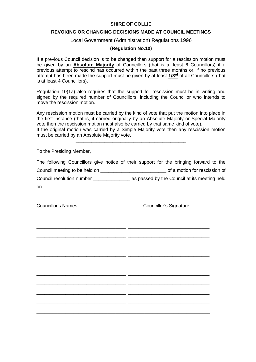#### **SHIRE OF COLLIE**

#### **REVOKING OR CHANGING DECISIONS MADE AT COUNCIL MEETINGS**

#### Local Government (Administration) Regulations 1996

#### **(Regulation No.10)**

If a previous Council decision is to be changed then support for a rescission motion must be given by an **Absolute Majority** of Councillors (that is at least 6 Councillors) if a previous attempt to rescind has occurred within the past three months or, if no previous attempt has been made the support must be given by at least **1/3rd** of all Councillors (that is at least 4 Councillors).

Regulation 10(1a) also requires that the support for rescission must be in writing and signed by the required number of Councillors, including the Councillor who intends to move the rescission motion.

Any rescission motion must be carried by the kind of vote that put the motion into place in the first instance (that is, if carried originally by an Absolute Majority or Special Majority vote then the rescission motion must also be carried by that same kind of vote).

If the original motion was carried by a Simple Majority vote then any rescission motion must be carried by an Absolute Majority vote. \_\_\_\_\_\_\_\_\_\_\_\_\_\_\_\_\_\_\_\_\_\_\_\_\_\_\_\_\_\_\_\_\_\_\_\_\_\_\_\_\_\_

To the Presiding Member,

|                               | The following Councillors give notice of their support for the bringing forward to the |
|-------------------------------|----------------------------------------------------------------------------------------|
| Council meeting to be held on | of a motion for rescission of                                                          |
| Council resolution number     | as passed by the Council at its meeting held                                           |
| on                            |                                                                                        |

\_\_\_\_\_\_\_\_\_\_\_\_\_\_\_\_\_\_\_\_\_\_\_\_\_\_\_\_\_\_\_\_\_\_ \_\_\_\_\_\_\_\_\_\_\_\_\_\_\_\_\_\_\_\_\_\_\_\_\_\_\_\_\_\_\_

\_\_\_\_\_\_\_\_\_\_\_\_\_\_\_\_\_\_\_\_\_\_\_\_\_\_\_\_\_\_\_\_\_\_ \_\_\_\_\_\_\_\_\_\_\_\_\_\_\_\_\_\_\_\_\_\_\_\_\_\_\_\_\_\_\_

\_\_\_\_\_\_\_\_\_\_\_\_\_\_\_\_\_\_\_\_\_\_\_\_\_\_\_\_\_\_\_\_\_\_ \_\_\_\_\_\_\_\_\_\_\_\_\_\_\_\_\_\_\_\_\_\_\_\_\_\_\_\_\_\_\_

\_\_\_\_\_\_\_\_\_\_\_\_\_\_\_\_\_\_\_\_\_\_\_\_\_\_\_\_\_\_\_\_\_\_ \_\_\_\_\_\_\_\_\_\_\_\_\_\_\_\_\_\_\_\_\_\_\_\_\_\_\_\_\_\_\_

\_\_\_\_\_\_\_\_\_\_\_\_\_\_\_\_\_\_\_\_\_\_\_\_\_\_\_\_\_\_\_\_\_\_ \_\_\_\_\_\_\_\_\_\_\_\_\_\_\_\_\_\_\_\_\_\_\_\_\_\_\_\_\_\_\_

\_\_\_\_\_\_\_\_\_\_\_\_\_\_\_\_\_\_\_\_\_\_\_\_\_\_\_\_\_\_\_\_\_\_ \_\_\_\_\_\_\_\_\_\_\_\_\_\_\_\_\_\_\_\_\_\_\_\_\_\_\_\_\_\_\_

\_\_\_\_\_\_\_\_\_\_\_\_\_\_\_\_\_\_\_\_\_\_\_\_\_\_\_\_\_\_\_\_\_\_ \_\_\_\_\_\_\_\_\_\_\_\_\_\_\_\_\_\_\_\_\_\_\_\_\_\_\_\_\_\_\_

\_\_\_\_\_\_\_\_\_\_\_\_\_\_\_\_\_\_\_\_\_\_\_\_\_\_\_\_\_\_\_\_\_\_ \_\_\_\_\_\_\_\_\_\_\_\_\_\_\_\_\_\_\_\_\_\_\_\_\_\_\_\_\_\_\_

\_\_\_\_\_\_\_\_\_\_\_\_\_\_\_\_\_\_\_\_\_\_\_\_\_\_\_\_\_\_\_\_\_\_ \_\_\_\_\_\_\_\_\_\_\_\_\_\_\_\_\_\_\_\_\_\_\_\_\_\_\_\_\_\_\_

\_\_\_\_\_\_\_\_\_\_\_\_\_\_\_\_\_\_\_\_\_\_\_\_\_\_\_\_\_\_\_\_\_\_ \_\_\_\_\_\_\_\_\_\_\_\_\_\_\_\_\_\_\_\_\_\_\_\_\_\_\_\_\_\_\_

\_\_\_\_\_\_\_\_\_\_\_\_\_\_\_\_\_\_\_\_\_\_\_\_\_\_\_\_\_\_\_\_\_\_\_\_\_\_\_\_\_\_\_\_\_\_\_\_\_\_\_\_\_\_\_\_\_\_\_\_\_\_\_\_\_\_

Councillor's Names Councillor's Signature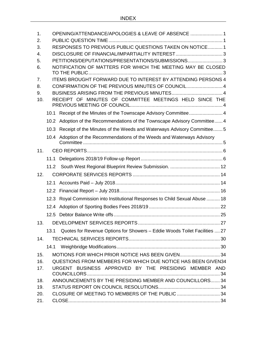| 1.<br>2.   | OPENING/ATTENDANCE/APOLOGIES & LEAVE OF ABSENCE  1       |                                                                              |  |  |
|------------|----------------------------------------------------------|------------------------------------------------------------------------------|--|--|
| 3.         | RESPONSES TO PREVIOUS PUBLIC QUESTIONS TAKEN ON NOTICE 1 |                                                                              |  |  |
| 4.         |                                                          |                                                                              |  |  |
| 5.         |                                                          | PETITIONS/DEPUTATIONS/PRESENTATIONS/SUBMISSIONS 3                            |  |  |
| 6.         |                                                          | NOTIFICATION OF MATTERS FOR WHICH THE MEETING MAY BE CLOSED                  |  |  |
| 7.         |                                                          | ITEMS BROUGHT FORWARD DUE TO INTEREST BY ATTENDING PERSONS 4                 |  |  |
| 8.         |                                                          | CONFIRMATION OF THE PREVIOUS MINUTES OF COUNCIL 4                            |  |  |
| 9.         |                                                          |                                                                              |  |  |
| 10.        |                                                          | RECEIPT OF MINUTES OF COMMITTEE MEETINGS HELD SINCE THE                      |  |  |
|            |                                                          | 10.1 Receipt of the Minutes of the Townscape Advisory Committee 4            |  |  |
|            |                                                          | 10.2 Adoption of the Recommendations of the Townscape Advisory Committee 4   |  |  |
|            |                                                          | 10.3 Receipt of the Minutes of the Weeds and Waterways Advisory Committee 5  |  |  |
|            |                                                          | 10.4 Adoption of the Recommendations of the Weeds and Waterways Advisory     |  |  |
| 11.        |                                                          |                                                                              |  |  |
|            |                                                          |                                                                              |  |  |
|            |                                                          |                                                                              |  |  |
| 12.        |                                                          |                                                                              |  |  |
|            |                                                          |                                                                              |  |  |
|            |                                                          |                                                                              |  |  |
|            |                                                          | 12.3 Royal Commission into Institutional Responses to Child Sexual Abuse  18 |  |  |
|            |                                                          |                                                                              |  |  |
|            |                                                          |                                                                              |  |  |
| 13.        |                                                          |                                                                              |  |  |
|            | 13.1                                                     | Quotes for Revenue Options for Showers - Eddie Woods Toilet Facilities  27   |  |  |
| 14.        |                                                          |                                                                              |  |  |
|            | 14.1                                                     |                                                                              |  |  |
| 15.        |                                                          | MOTIONS FOR WHICH PRIOR NOTICE HAS BEEN GIVEN34                              |  |  |
| 16.        |                                                          | QUESTIONS FROM MEMBERS FOR WHICH DUE NOTICE HAS BEEN GIVEN34                 |  |  |
| 17.        |                                                          | URGENT BUSINESS APPROVED BY THE PRESIDING MEMBER AND                         |  |  |
|            |                                                          | ANNOUNCEMENTS BY THE PRESIDING MEMBER AND COUNCILLORS 34                     |  |  |
| 18.<br>19. |                                                          |                                                                              |  |  |
| 20.        |                                                          | CLOSURE OF MEETING TO MEMBERS OF THE PUBLIC 34                               |  |  |
| 21.        |                                                          |                                                                              |  |  |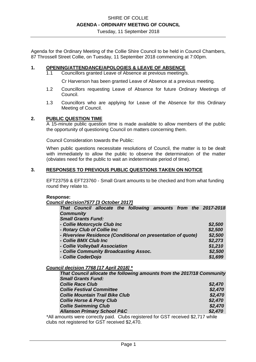Tuesday, 11 September 2018

Agenda for the Ordinary Meeting of the Collie Shire Council to be held in Council Chambers, 87 Throssell Street Collie, on Tuesday, 11 September 2018 commencing at 7:00pm.

#### **1. OPENING/ATTENDANCE/APOLOGIES & LEAVE OF ABSENCE**

1.1 Councillors granted Leave of Absence at previous meeting/s.

Cr Harverson has been granted Leave of Absence at a previous meeting.

- 1.2 Councillors requesting Leave of Absence for future Ordinary Meetings of Council.
- 1.3 Councillors who are applying for Leave of the Absence for this Ordinary Meeting of Council.

#### **2. PUBLIC QUESTION TIME**

A 15-minute public question time is made available to allow members of the public the opportunity of questioning Council on matters concerning them.

Council Consideration towards the Public:

When public questions necessitate resolutions of Council, the matter is to be dealt with immediately to allow the public to observe the determination of the matter (obviates need for the public to wait an indeterminate period of time).

#### **3. RESPONSES TO PREVIOUS PUBLIC QUESTIONS TAKEN ON NOTICE**

EFT23759 & EFT23760 - Small Grant amounts to be checked and from what funding round they relate to.

#### **Response:**

*Council decision7577 [3 October 2017]* 

| That Council allocate the following amounts from the 2017-2018 |         |
|----------------------------------------------------------------|---------|
| <b>Community</b>                                               |         |
| <b>Small Grants Fund:</b>                                      |         |
| - Collie Motorcycle Club Inc                                   | \$2,500 |
| - Rotary Club of Collie Inc                                    | \$2,500 |
| - Riverview Residence (Conditional on presentation of quote)   | \$2,500 |
| - Collie BMX Club Inc                                          | \$2,273 |
| - Collie Volleyball Association                                | \$1,210 |
| - Collie Community Broadcasting Assoc.                         | \$2,500 |
| - Collie CoderDojo                                             | \$1,699 |

#### *Council decision 7768 [17 April 2018] \**

| That Council allocate the following amounts from the 2017/18 Community |         |
|------------------------------------------------------------------------|---------|
| <b>Small Grants Fund:</b>                                              |         |
| <b>Collie Race Club</b>                                                | \$2,470 |
| <b>Collie Festival Committee</b>                                       | \$2,470 |
| <b>Collie Mountain Trail Bike Club</b>                                 | \$2,470 |
| <b>Collie Horse &amp; Pony Club</b>                                    | \$2,470 |
| <b>Collie Swimming Club</b>                                            | \$2,470 |
| <b>Allanson Primary School P&amp;C</b>                                 | \$2,470 |

\*All amounts were correctly paid. Clubs registered for GST received \$2,717 while clubs not registered for GST received \$2,470.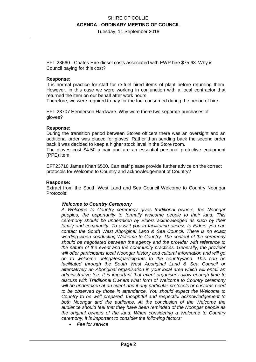Tuesday, 11 September 2018

EFT 23660 - Coates Hire diesel costs associated with EWP hire \$75.63. Why is Council paying for this cost?

#### **Response:**

It is normal practice for staff for re-fuel hired items of plant before returning them. However, in this case we were working in conjunction with a local contractor that returned the item on our behalf after work hours.

Therefore, we were required to pay for the fuel consumed during the period of hire.

EFT 23707 Henderson Hardware. Why were there two separate purchases of gloves?

#### **Response:**

During the transition period between Stores officers there was an oversight and an additional order was placed for gloves. Rather than sending back the second order back it was decided to keep a higher stock level in the Store room.

The gloves cost \$4.50 a pair and are an essential personal protective equipment (PPE) item.

EFT23710 James Khan \$500. Can staff please provide further advice on the correct protocols for Welcome to Country and acknowledgement of Country?

#### **Response:**

Extract from the South West Land and Sea Council Welcome to Country Noongar Protocols:

#### *Welcome to Country Ceremony*

*A Welcome to Country ceremony gives traditional owners, the Noongar peoples, the opportunity to formally welcome people to their land. This ceremony should be undertaken by Elders acknowledged as such by their family and community. To assist you in facilitating access to Elders you can contact the South West Aboriginal Land & Sea Council. There is no exact wording when conducting Welcome to Country. The content of the ceremony should be negotiated between the agency and the provider with reference to the nature of the event and the community practices. Generally, the provider will offer participants local Noongar history and cultural information and will go on to welcome delegates/participants to the country/land. This can be facilitated through the South West Aboriginal Land & Sea Council or alternatively an Aboriginal organisation in your local area which will entail an administrative fee. It is important that event organisers allow enough time to discuss with Traditional Owners what form of Welcome to Country ceremony will be undertaken at an event and if any particular protocols or customs need to be observed by those in attendance. You should expect the Welcome to Country to be well prepared, thoughtful and respectful acknowledgement to both Noongar and the audience. At the conclusion of the Welcome the audience should feel that they have been reminded of the Noongar people as the original owners of the land. When considering a Welcome to Country ceremony, it is important to consider the following factors:* 

• *Fee for service*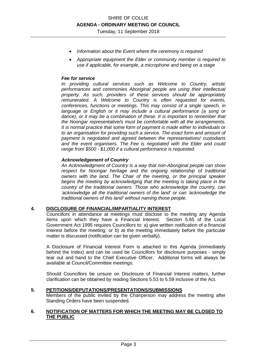- *Information about the Event where the ceremony is required*
- *Appropriate equipment the Elder or community member is required to use if applicable, for example, a microphone and being on a stage*

#### *Fee for service*

*In providing cultural services such as Welcome to Country, artistic performances and ceremonies Aboriginal people are using their intellectual property. As such, providers of these services should be appropriately remunerated. A Welcome to Country is often requested for events, conferences, functions or meetings. This may consist of a single speech, in*  language or English or it may include a cultural performance (a song or *dance), or it may be a combination of these. It is important to remember that the Noongar representative/s must be comfortable with all the arrangements. It is normal practice that some form of payment is made either to individuals or to an organisation for providing such a service. The exact form and amount of payment is negotiated and agreed between the representatives/ custodians and the event organisers. The Fee is negotiated with the Elder and could range from \$500 - \$1,000 if a cultural performance is requested.* 

#### *Acknowledgement of Country*

*An Acknowledgment of Country is a way that non-Aboriginal people can show respect for Noongar heritage and the ongoing relationship of traditional owners with the land. The Chair of the meeting, or the principal speaker begins the meeting by acknowledging that the meeting is taking place in the country of the traditional owners. Those who acknowledge the country, can 'acknowledge all the traditional owners of the land' or can 'acknowledge the traditional owners of this land' without naming those people.*

#### **4. DISCLOSURE OF FINANCIAL/IMPARTIALITY INTEREST**

Councillors in attendance at meetings must disclose to the meeting any Agenda items upon which they have a Financial Interest. Section 5.65 of the Local Government Act 1995 requires Councillors to: a) give written notification of a financial Interest before the meeting; or b) at the meeting immediately before the particular matter is discussed (notification can be given verbally).

A Disclosure of Financial Interest Form is attached to this Agenda (immediately behind the Index) and can be used be Councillors for disclosure purposes - simply tear out and hand to the Chief Executive Officer. Additional forms will always be available at Council/Committee meetings.

Should Councillors be unsure on Disclosure of Financial Interest matters, further clarification can be obtained by reading Sections 5.53 to 5.59 inclusive of the Act.

#### **5. PETITIONS/DEPUTATIONS/PRESENTATIONS/SUBMISSIONS**

Members of the public invited by the Chairperson may address the meeting after Standing Orders have been suspended.

#### **6. NOTIFICATION OF MATTERS FOR WHICH THE MEETING MAY BE CLOSED TO THE PUBLIC**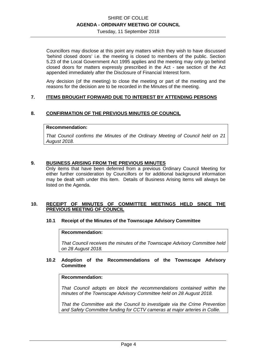Tuesday, 11 September 2018

Councillors may disclose at this point any matters which they wish to have discussed 'behind closed doors' i.e. the meeting is closed to members of the public. Section 5.23 of the Local Government Act 1995 applies and the meeting may only go behind closed doors for matters expressly prescribed in the Act - see section of the Act appended immediately after the Disclosure of Financial Interest form.

Any decision (of the meeting) to close the meeting or part of the meeting and the reasons for the decision are to be recorded in the Minutes of the meeting.

#### **7. ITEMS BROUGHT FORWARD DUE TO INTEREST BY ATTENDING PERSONS**

#### **8. CONFIRMATION OF THE PREVIOUS MINUTES OF COUNCIL**

#### **Recommendation:**

*That Council confirms the Minutes of the Ordinary Meeting of Council held on 21 August 2018.* 

#### **9. BUSINESS ARISING FROM THE PREVIOUS MINUTES**

Only items that have been deferred from a previous Ordinary Council Meeting for either further consideration by Councillors or for additional background information may be dealt with under this item. Details of Business Arising items will always be listed on the Agenda.

#### **10. RECEIPT OF MINUTES OF COMMITTEE MEETINGS HELD SINCE THE PREVIOUS MEETING OF COUNCIL**

#### **10.1 Receipt of the Minutes of the Townscape Advisory Committee**

#### **Recommendation:**

*That Council receives the minutes of the Townscape Advisory Committee held on 28 August 2018.* 

#### **10.2 Adoption of the Recommendations of the Townscape Advisory Committee**

#### **Recommendation:**

*That Council adopts en block the recommendations contained within the minutes of the Townscape Advisory Committee held on 28 August 2018.* 

*That the Committee ask the Council to investigate via the Crime Prevention and Safety Committee funding for CCTV cameras at major arteries in Collie.*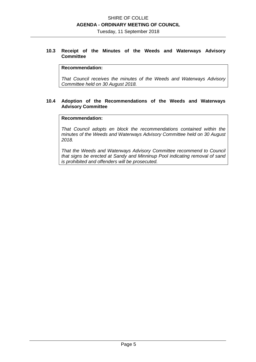Tuesday, 11 September 2018

#### **10.3 Receipt of the Minutes of the Weeds and Waterways Advisory Committee**

#### **Recommendation:**

*That Council receives the minutes of the Weeds and Waterways Advisory Committee held on 30 August 2018.* 

#### **10.4 Adoption of the Recommendations of the Weeds and Waterways Advisory Committee**

#### **Recommendation:**

*That Council adopts en block the recommendations contained within the minutes of the Weeds and Waterways Advisory Committee held on 30 August 2018.* 

*That the Weeds and Waterways Advisory Committee recommend to Council that signs be erected at Sandy and Minninup Pool indicating removal of sand is prohibited and offenders will be prosecuted.*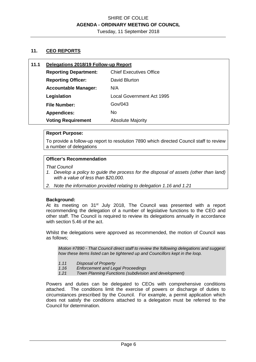Tuesday, 11 September 2018

#### **11. CEO REPORTS**

| 11.1 | Delegations 2018/19 Follow-up Report |                                |  |
|------|--------------------------------------|--------------------------------|--|
|      | <b>Reporting Department:</b>         | <b>Chief Executives Office</b> |  |
|      | <b>Reporting Officer:</b>            | David Blurton                  |  |
|      | <b>Accountable Manager:</b>          | N/A                            |  |
|      | Legislation                          | Local Government Act 1995      |  |
|      | <b>File Number:</b>                  | Gov/043                        |  |
|      | <b>Appendices:</b>                   | No.                            |  |
|      | <b>Voting Requirement</b>            | <b>Absolute Majority</b>       |  |

#### **Report Purpose:**

To provide a follow-up report to resolution 7890 which directed Council staff to review a number of delegations

#### **Officer's Recommendation**

*That Council* 

- *1. Develop a policy to guide the process for the disposal of assets (other than land) with a value of less than \$20,000.*
- *2. Note the information provided relating to delegation 1.16 and 1.21*

#### **Background:**

At its meeting on 31<sup>st</sup> July 2018, The Council was presented with a report recommending the delegation of a number of legislative functions to the CEO and other staff. The Council is required to review its delegations annually in accordance with section 5.46 of the act.

Whilst the delegations were approved as recommended, the motion of Council was as follows;

*Motion #7890 - That Council direct staff to review the following delegations and suggest how these items listed can be tightened up and Councillors kept in the loop.* 

- *1.11 Disposal of Property*
- *1.16 Enforcement and Legal Proceedings*
- *1.21 Town Planning Functions (subdivision and development)*

Powers and duties can be delegated to CEOs with comprehensive conditions attached. The conditions limit the exercise of powers or discharge of duties to circumstances prescribed by the Council. For example, a permit application which does not satisfy the conditions attached to a delegation must be referred to the Council for determination.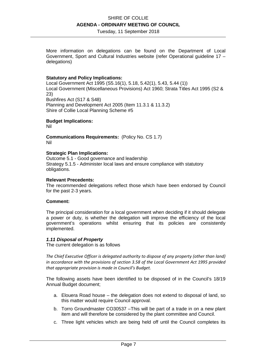Tuesday, 11 September 2018

More information on delegations can be found on the Department of Local Government, Sport and Cultural Industries website (refer Operational guideline 17 – delegations)

#### **Statutory and Policy Implications:**

Local Government Act 1995 (S5.16(1), 5.18, 5.42(1), 5.43, 5.44 (1)) Local Government (Miscellaneous Provisions) Act 1960; Strata Titles Act 1995 (S2 & 23) Bushfires Act (S17 & S48) Planning and Development Act 2005 (Item 11.3.1 & 11.3.2) Shire of Collie Local Planning Scheme #5

#### **Budget Implications:**

Nil

**Communications Requirements:** (Policy No. CS 1.7) Nil

#### **Strategic Plan Implications:**

Outcome 5.1 - Good governance and leadership Strategy 5.1.5 - Administer local laws and ensure compliance with statutory obligations.

#### **Relevant Precedents:**

The recommended delegations reflect those which have been endorsed by Council for the past 2-3 years.

#### **Comment:**

The principal consideration for a local government when deciding if it should delegate a power or duty, is whether the delegation will improve the efficiency of the local government's operations whilst ensuring that its policies are consistently implemented.

#### *1.11 Disposal of Property*

The current delegation is as follows

*The Chief Executive Officer is delegated authority to dispose of any property (other than land) in accordance with the provisions of section 3.58 of the Local Government Act 1995 provided that appropriate provision is made in Council's Budget.* 

The following assets have been identified to be disposed of in the Council's 18/19 Annual Budget document;

- a. Elouera Road house the delegation does not extend to disposal of land, so this matter would require Council approval.
- b. Torro Groundmaster CO30537 –This will be part of a trade in on a new plant item and will therefore be considered by the plant committee and Council.
- c. Three light vehicles which are being held off until the Council completes its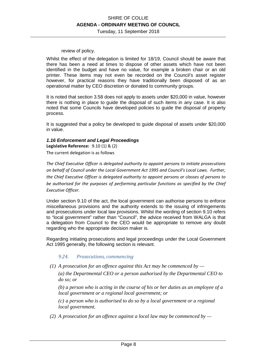#### review of policy.

Whilst the effect of the delegation is limited for 18/19, Council should be aware that there has been a need at times to dispose of other assets which have not been identified in the budget and have no value, for example a broken chair or an old printer. These items may not even be recorded on the Council's asset register however, for practical reasons they have traditionally been disposed of as an operational matter by CEO discretion or donated to community groups.

It is noted that section 3.58 does not apply to assets under \$20,000 in value, however there is nothing in place to guide the disposal of such items in any case. It is also noted that some Councils have developed policies to guide the disposal of property process.

It is suggested that a policy be developed to guide disposal of assets under \$20,000 in value.

#### *1.16 Enforcement and Legal Proceedings*

**Legislative Reference:** 9.10 (1) & (2) The current delegation is as follows

*The Chief Executive Officer is delegated authority to appoint persons to initiate prosecutions on behalf of Council under the Local Government Act 1995 and Council's Local Laws. Further, the Chief Executive Officer is delegated authority to appoint persons or classes of persons to be authorised for the purposes of performing particular functions as specified by the Chief Executive Officer.* 

Under section 9.10 of the act, the local government can authorise persons to enforce miscellaneous provisions and the authority extends to the issuing of infringements and prosecutions under local law provisions. Whilst the wording of section 9.10 refers to "local government" rather than "Council", the advice received from WALGA is that a delegation from Council to the CEO would be appropriate to remove any doubt regarding who the appropriate decision maker is.

Regarding initiating prosecutions and legal proceedings under the Local Government Act 1995 generally, the following section is relevant.

#### *9.24. Prosecutions, commencing*

 *(1) A prosecution for an offence against this Act may be commenced by —* 

*(a) the Departmental CEO or a person authorised by the Departmental CEO to do so; or* 

*(b) a person who is acting in the course of his or her duties as an employee of a local government or a regional local government; or* 

*(c) a person who is authorised to do so by a local government or a regional local government.* 

 *(2) A prosecution for an offence against a local law may be commenced by —*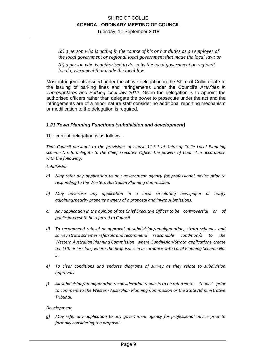Tuesday, 11 September 2018

*(a) a person who is acting in the course of his or her duties as an employee of the local government or regional local government that made the local law; or* 

*(b) a person who is authorised to do so by the local government or regional local government that made the local law.* 

Most infringements issued under the above delegation in the Shire of Collie relate to the issuing of parking fines and infringements under the Council's *Activities in Thoroughfares and Parking local law 2012. G*iven the delegation is to appoint the authorised officers rather than delegate the power to prosecute under the act and the infringements are of a minor nature staff consider no additional reporting mechanism or modification to the delegation is required.

#### *1.21 Town Planning Functions (subdivision and development)*

The current delegation is as follows -

*That Council pursuant to the provisions of clause 11.3.1 of Shire of Collie Local Planning scheme No. 5, delegate to the Chief Executive Officer the powers of Council in accordance with the following:* 

#### *Subdivision*

- *a) May refer any application to any government agency for professional advice prior to responding to the Western Australian Planning Commission.*
- *b) May advertise any application in a local circulating newspaper or notify adjoining/nearby property owners of a proposal and invite submissions.*
- *c) Any application in the opinion of the Chief Executive Officer to be controversial or of public interest to be referred to Council.*
- *d) To recommend refusal or approval of subdivision/amalgamation, strata schemes and survey strata schemes referrals and recommend reasonable condition/s to the Western Australian Planning Commission where Subdivision/Strata applications create ten (10) or less lots, where the proposal is in accordance with Local Planning Scheme No. 5.*
- *e) To clear conditions and endorse diagrams of survey as they relate to subdivision approvals.*
- *f) All subdivision/amalgamation reconsideration requests to be referred to Council prior to comment to the Western Australian Planning Commission or the State Administrative Tribunal.*

#### *Development*

*g) May refer any application to any government agency for professional advice prior to formally considering the proposal.*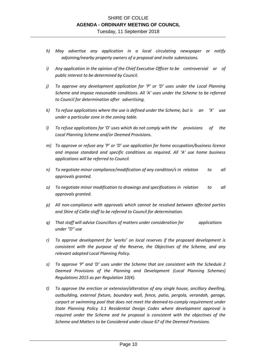- *h) May advertise any application in a local circulating newspaper or notify adjoining/nearby property owners of a proposal and invite submissions.*
- *i) Any application in the opinion of the Chief Executive Officer to be controversial or of public interest to be determined by Council.*
- *j) To approve any development application for 'P' or 'D' uses under the Local Planning Scheme and impose reasonable conditions. All 'A' uses under the Scheme to be referred to Council for determination after advertising.*
- *k) To refuse applications where the use is defined under the Scheme, but is an 'X' use under a particular zone in the zoning table.*
- *l) To refuse applications for 'D' uses which do not comply with the provisions of the Local Planning Scheme and/or Deemed Provisions.*
- *m) To approve or refuse any 'P' or 'D' use application for home occupation/business licence and impose standard and specific conditions as required. All 'A' use home business applications will be referred to Council.*
- *n) To negotiate minor compliance/modification of any condition/s in relation to all approvals granted.*
- *o) To negotiate minor modification to drawings and specifications in relation to all approvals granted.*
- *p) All non-compliance with approvals which cannot be resolved between affected parties and Shire of Collie staff to be referred to Council for determination.*
- *q) That staff will advise Councillors of matters under consideration for applications under "D" use*
- *r) To approve development for 'works' on local reserves if the proposed development is consistent with the purpose of the Reserve, the Objectives of the Scheme, and any relevant adopted Local Planning Policy.*
- *s) To approve 'P' and 'D' uses under the Scheme that are consistent with the Schedule 2 Deemed Provisions of the Planning and Development (Local Planning Schemes) Regulations 2015 as per Regulation 10(4).*
- *t) To approve the erection or extension/alteration of any single house, ancillary dwelling, outbuilding, external fixture, boundary wall, fence, patio, pergola, verandah, garage, carport or swimming pool that does not meet the deemed-to-comply requirement under State Planning Policy 3.1 Residential Design Codes where development approval is required under the Scheme and he proposal is consistent with the objectives of the Scheme and Matters to be Considered under clause 67 of the Deemed Provisions.*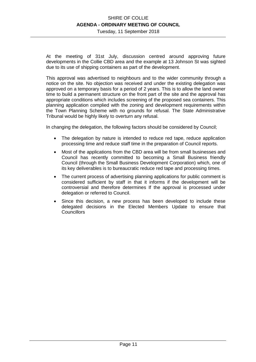Tuesday, 11 September 2018

At the meeting of 31st July, discussion centred around approving future developments in the Collie CBD area and the example at 13 Johnson St was sighted due to its use of shipping containers as part of the development.

This approval was advertised to neighbours and to the wider community through a notice on the site. No objection was received and under the existing delegation was approved on a temporary basis for a period of 2 years. This is to allow the land owner time to build a permanent structure on the front part of the site and the approval has appropriate conditions which includes screening of the proposed sea containers. This planning application complied with the zoning and development requirements within the Town Planning Scheme with no grounds for refusal. The State Administrative Tribunal would be highly likely to overturn any refusal.

In changing the delegation, the following factors should be considered by Council;

- The delegation by nature is intended to reduce red tape, reduce application processing time and reduce staff time in the preparation of Council reports.
- Most of the applications from the CBD area will be from small businesses and Council has recently committed to becoming a Small Business friendly Council (through the Small Business Development Corporation) which, one of its key deliverables is to bureaucratic reduce red tape and processing times.
- The current process of advertising planning applications for public comment is considered sufficient by staff in that it informs if the development will be controversial and therefore determines If the approval is processed under delegation or referred to Council.
- Since this decision, a new process has been developed to include these delegated decisions in the Elected Members Update to ensure that **Councillors**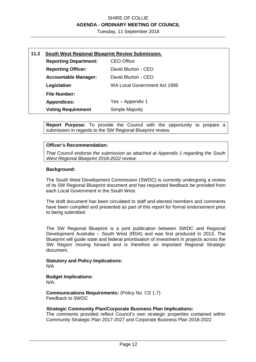Tuesday, 11 September 2018

| 11.2 | South West Regional Blueprint Review Submission. |                              |  |
|------|--------------------------------------------------|------------------------------|--|
|      | <b>Reporting Department:</b>                     | <b>CEO Office</b>            |  |
|      | <b>Reporting Officer:</b>                        | David Blurton - CEO          |  |
|      | <b>Accountable Manager:</b>                      | David Blurton - CEO          |  |
|      | Legislation                                      | WA Local Government Act 1995 |  |
|      | <b>File Number:</b>                              |                              |  |
|      | <b>Appendices:</b>                               | Yes – Appendix 1             |  |
|      | <b>Voting Requirement</b>                        | <b>Simple Majority</b>       |  |

**Report Purpose:** To provide the Council with the opportunity to prepare a submission in regards to the SW Regional Blueprint review.

#### **Officer's Recommendation:**

*That Council endorse the submission as attached at Appendix 1 regarding the South West Regional Blueprint 2018-2022 review.* 

#### **Background:**

The South West Development Commission (SWDC) is currently undergoing a review of its SW Regional Blueprint document and has requested feedback be provided from each Local Government in the South West.

The draft document has been circulated to staff and elected members and comments have been compiled and presented as part of this report for formal endorsement prior to being submitted.

The SW Regional Blueprint is a joint publication between SWDC and Regional Development Australia – South West (RDA) and was first produced in 2013. The Blueprint will guide state and federal prioritisation of investment in projects across the SW Region moving forward and is therefore an important Regional Strategic document.

**Statutory and Policy Implications:**  N/A

## **Budget Implications:**

N/A.

**Communications Requirements:** (Policy No. CS 1.7) Feedback to SWDC

#### **Strategic Community Plan/Corporate Business Plan Implications:**

The comments provided reflect Council's own strategic properties contained within Community Strategic Plan 2017-2027 and Corporate Business Plan 2018-2022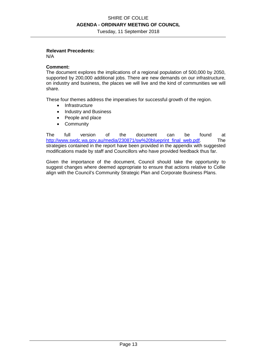Tuesday, 11 September 2018

#### **Relevant Precedents:**

N/A

#### **Comment:**

The document explores the implications of a regional population of 500,000 by 2050, supported by 200,000 additional jobs. There are new demands on our infrastructure, on industry and business, the places we will live and the kind of communities we will share.

These four themes address the imperatives for successful growth of the region.

- Infrastructure
- Industry and Business
- People and place
- Community

The full version of the document can be found at http://www.swdc.wa.gov.au/media/230871/sw%20blueprint\_final\_web.pdf. The strategies contained in the report have been provided in the appendix with suggested modifications made by staff and Councillors who have provided feedback thus far.

Given the importance of the document, Council should take the opportunity to suggest changes where deemed appropriate to ensure that actions relative to Collie align with the Council's Community Strategic Plan and Corporate Business Plans.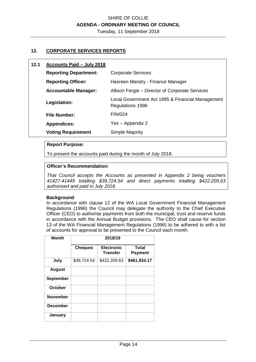Tuesday, 11 September 2018

#### **12. CORPORATE SERVICES REPORTS**

| 12.1 | Accounts Paid - July 2018 |  |
|------|---------------------------|--|
|      |                           |  |

| <b>Reporting Department:</b> | <b>Corporate Services</b>                                            |  |
|------------------------------|----------------------------------------------------------------------|--|
| <b>Reporting Officer:</b>    | Hasreen Mandry - Finance Manager                                     |  |
| <b>Accountable Manager:</b>  | Allison Fergie – Director of Corporate Services                      |  |
| Legislation:                 | Local Government Act 1995 & Financial Management<br>Regulations 1996 |  |
| <b>File Number:</b>          | <b>FIN/024</b>                                                       |  |
| <b>Appendices:</b>           | Yes – Appendix 2                                                     |  |
| <b>Voting Requirement</b>    | Simple Majority                                                      |  |

#### **Report Purpose:**

To present the accounts paid during the month of July 2018.

#### **Officer's Recommendation:**

*That Council accepts the Accounts as presented in Appendix 2 being vouchers 41427-41449 totalling \$39,724.54 and direct payments totalling \$422,209.63 authorised and paid in July 2018.* 

#### **Background**:

In accordance with clause 12 of the WA Local Government Financial Management Regulations (1996) the Council may delegate the authority to the Chief Executive Officer (CEO) to authorise payments from both the municipal, trust and reserve funds in accordance with the Annual Budget provisions. The CEO shall cause for section 13 of the WA Financial Management Regulations (1996) to be adhered to with a list of accounts for approval to be presented to the Council each month.

| <b>Month</b>     | 2018/19        |                                      |                                |
|------------------|----------------|--------------------------------------|--------------------------------|
|                  | <b>Cheques</b> | <b>Electronic</b><br><b>Transfer</b> | <b>Total</b><br><b>Payment</b> |
| July             | \$39,724.54    | \$422,209.63                         | \$461,934.17                   |
| <b>August</b>    |                |                                      |                                |
| <b>September</b> |                |                                      |                                |
| October          |                |                                      |                                |
| <b>November</b>  |                |                                      |                                |
| <b>December</b>  |                |                                      |                                |
| January          |                |                                      |                                |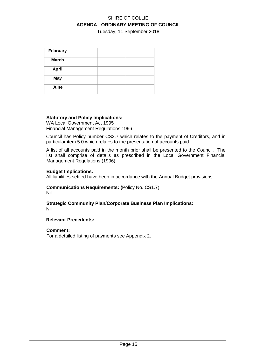Tuesday, 11 September 2018

| February     |  |  |
|--------------|--|--|
| <b>March</b> |  |  |
| <b>April</b> |  |  |
| <b>May</b>   |  |  |
| June         |  |  |

#### **Statutory and Policy Implications:**

WA Local Government Act 1995 Financial Management Regulations 1996

Council has Policy number CS3.7 which relates to the payment of Creditors, and in particular item 5.0 which relates to the presentation of accounts paid.

A list of all accounts paid in the month prior shall be presented to the Council. The list shall comprise of details as prescribed in the Local Government Financial Management Regulations (1996).

#### **Budget Implications:**

All liabilities settled have been in accordance with the Annual Budget provisions.

#### **Communications Requirements: (**Policy No. CS1.7) Nil

**Strategic Community Plan/Corporate Business Plan Implications:**  Nil

#### **Relevant Precedents:**

**Comment:** 

For a detailed listing of payments see Appendix 2.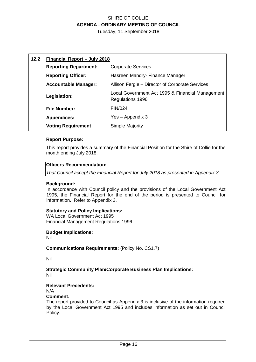Tuesday, 11 September 2018

| 12.2 | Financial Report - July 2018 |                                                                      |  |
|------|------------------------------|----------------------------------------------------------------------|--|
|      | <b>Reporting Department:</b> | <b>Corporate Services</b>                                            |  |
|      | <b>Reporting Officer:</b>    | Hasreen Mandry- Finance Manager                                      |  |
|      | <b>Accountable Manager:</b>  | Allison Fergie – Director of Corporate Services                      |  |
|      | Legislation:                 | Local Government Act 1995 & Financial Management<br>Regulations 1996 |  |
|      | <b>File Number:</b>          | FIN/024                                                              |  |
|      | <b>Appendices:</b>           | Yes – Appendix 3                                                     |  |
|      | <b>Voting Requirement</b>    | Simple Majority                                                      |  |

#### **Report Purpose:**

This report provides a summary of the Financial Position for the Shire of Collie for the month ending July 2018.

#### **Officers Recommendation:**

*That Council accept the Financial Report for July 2018 as presented in Appendix 3*

#### **Background:**

In accordance with Council policy and the provisions of the Local Government Act 1995, the Financial Report for the end of the period is presented to Council for information. Refer to Appendix 3.

#### **Statutory and Policy Implications:**

WA Local Government Act 1995 Financial Management Regulations 1996

#### **Budget Implications:**

Nil

#### **Communications Requirements:** (Policy No. CS1.7)

Nil

#### **Strategic Community Plan/Corporate Business Plan Implications:**  Nil

#### **Relevant Precedents:**

N/A

## **Comment:**

The report provided to Council as Appendix 3 is inclusive of the information required by the Local Government Act 1995 and includes information as set out in Council Policy.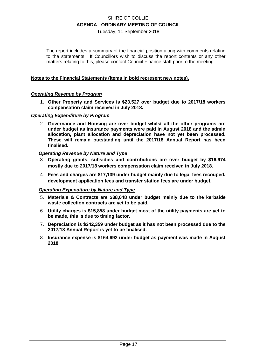Tuesday, 11 September 2018

The report includes a summary of the financial position along with comments relating to the statements. If Councillors wish to discuss the report contents or any other matters relating to this, please contact Council Finance staff prior to the meeting.

#### **Notes to the Financial Statements (items in bold represent new notes).**

#### *Operating Revenue by Program*

1. **Other Property and Services is \$23,527 over budget due to 2017/18 workers compensation claim received in July 2018.** 

#### *Operating Expenditure by Program*

2. **Governance and Housing are over budget whilst all the other programs are under budget as insurance payments were paid in August 2018 and the admin allocation, plant allocation and depreciation have not yet been processed. These will remain outstanding until the 2017/18 Annual Report has been finalised.** 

#### *Operating Revenue by Nature and Type*

- 3. **Operating grants, subsidies and contributions are over budget by \$16,974 mostly due to 2017/18 workers compensation claim received in July 2018.**
- 4. **Fees and charges are \$17,139 under budget mainly due to legal fees recouped, development application fees and transfer station fees are under budget.**

#### *Operating Expenditure by Nature and Type*

- 5. **Materials & Contracts are \$38,048 under budget mainly due to the kerbside waste collection contracts are yet to be paid.**
- 6. **Utility charges is \$15,858 under budget most of the utility payments are yet to be made, this is due to timing factor.**
- 7. **Depreciation is \$242,359 under budget as it has not been processed due to the 2017/18 Annual Report is yet to be finalised.**
- 8. **Insurance expense is \$164,692 under budget as payment was made in August 2018.**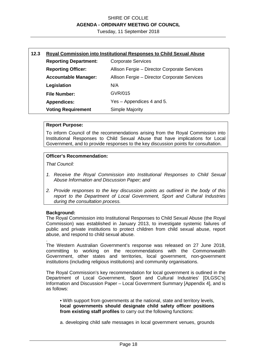Tuesday, 11 September 2018

| 12.3 | <b>Royal Commission into Institutional Responses to Child Sexual Abuse</b> |                                              |  |
|------|----------------------------------------------------------------------------|----------------------------------------------|--|
|      | <b>Reporting Department:</b><br><b>Corporate Services</b>                  |                                              |  |
|      | <b>Reporting Officer:</b>                                                  | Allison Fergie - Director Corporate Services |  |
|      | <b>Accountable Manager:</b>                                                | Allison Fergie – Director Corporate Services |  |
|      | Legislation                                                                | N/A                                          |  |
|      | <b>File Number:</b>                                                        | GVR/015                                      |  |
|      | <b>Appendices:</b>                                                         | Yes – Appendices 4 and 5.                    |  |
|      | <b>Voting Requirement</b>                                                  | Simple Majority                              |  |

#### **Report Purpose:**

To inform Council of the recommendations arising from the Royal Commission into Institutional Responses to Child Sexual Abuse that have implications for Local Government, and to provide responses to the key discussion points for consultation.

#### **Officer's Recommendation:**

*That Council:* 

- *1. Receive the Royal Commission into Institutional Responses to Child Sexual Abuse Information and Discussion Paper; and*
- *2. Provide responses to the key discussion points as outlined in the body of this report to the Department of Local Government, Sport and Cultural Industries during the consultation process.*

#### **Background:**

.

The Royal Commission into Institutional Responses to Child Sexual Abuse (the Royal Commission) was established in January 2013, to investigate systemic failures of public and private institutions to protect children from child sexual abuse, report abuse, and respond to child sexual abuse.

The Western Australian Government's response was released on 27 June 2018, committing to working on the recommendations with the Commonwealth Government, other states and territories, local government, non-government institutions (including religious institutions) and community organisations.

The Royal Commission's key recommendation for local government is outlined in the Department of Local Government, Sport and Cultural Industries' [DLGSC's] Information and Discussion Paper – Local Government Summary [Appendix 4], and is as follows:

• With support from governments at the national, state and territory levels, **local governments should designate child safety officer positions from existing staff profiles** to carry out the following functions:

a. developing child safe messages in local government venues, grounds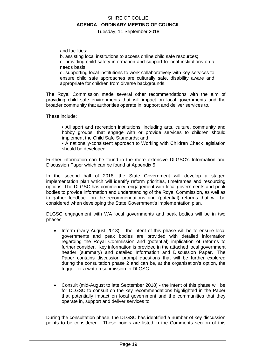Tuesday, 11 September 2018

and facilities;

b. assisting local institutions to access online child safe resources;

c. providing child safety information and support to local institutions on a needs basis;

d. supporting local institutions to work collaboratively with key services to ensure child safe approaches are culturally safe, disability aware and appropriate for children from diverse backgrounds.

The Royal Commission made several other recommendations with the aim of providing child safe environments that will impact on local governments and the broader community that authorities operate in, support and deliver services to.

These include:

• All sport and recreation institutions, including arts, culture, community and hobby groups, that engage with or provide services to children should implement the Child Safe Standards; and

• A nationally-consistent approach to Working with Children Check legislation should be developed.

Further information can be found in the more extensive DLGSC's Information and Discussion Paper which can be found at Appendix 5.

In the second half of 2018, the State Government will develop a staged implementation plan which will identify reform priorities, timeframes and resourcing options. The DLGSC has commenced engagement with local governments and peak bodies to provide information and understanding of the Royal Commission, as well as to gather feedback on the recommendations and (potential) reforms that will be considered when developing the State Government's implementation plan.

DLGSC engagement with WA local governments and peak bodies will be in two phases:

- Inform (early August  $2018$ ) the intent of this phase will be to ensure local governments and peak bodies are provided with detailed information regarding the Royal Commission and (potential) implication of reforms to further consider. Key information is provided in the attached local government header (summary) and detailed Information and Discussion Paper. The Paper contains discussion prompt questions that will be further explored during the consultation phase 2 and can be, at the organisation's option, the trigger for a written submission to DLGSC.
- Consult (mid-August to late September 2018) the intent of this phase will be for DLGSC to consult on the key recommendations highlighted in the Paper that potentially impact on local government and the communities that they operate in, support and deliver services to.

During the consultation phase, the DLGSC has identified a number of key discussion points to be considered. These points are listed in the Comments section of this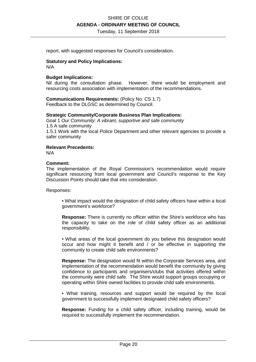Tuesday, 11 September 2018

report, with suggested responses for Council's consideration.

#### **Statutory and Policy Implications:**

N/A

#### **Budget Implications:**

Nil during the consultation phase. However, there would be employment and resourcing costs association with implementation of the recommendations.

**Communications Requirements:** (Policy No. CS 1.7) Feedback to the DLGSC as determined by Council.

#### **Strategic Community/Corporate Business Plan Implications:**

Goal 1 *Our Community: A vibrant, supportive and safe community*  1.5 A safe community 1.5.1 Work with the local Police Department and other relevant agencies to provide a safer community

#### **Relevant Precedents:**

N/A

#### **Comment:**

The implementation of the Royal Commission's recommendation would require significant resourcing from local government and Council's response to the Key Discussion Points should take that into consideration.

Responses:

• What impact would the designation of child safety officers have within a local government's workforce?

**Response:** There is currently no officer within the Shire's workforce who has the capacity to take on the role of child safety officer as an additional responsibility.

• What areas of the local government do you believe this designation would occur and how might it benefit and / or be effective in supporting the community to create child safe environments?

**Response:** The designation would fit within the Corporate Services area, and implementation of the recommendation would benefit the community by giving confidence to participants and organisers/clubs that activities offered within the community were child safe. The Shire would support groups occupying or operating within Shire owned facilities to provide child safe environments.

• What training, resources and support would be required by the local government to successfully implement designated child safety officers?

**Response:** Funding for a child safety officer, including training, would be required to successfully implement the recommendation.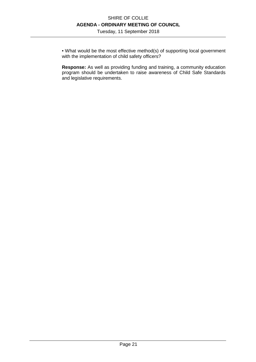Tuesday, 11 September 2018

• What would be the most effective method(s) of supporting local government with the implementation of child safety officers?

**Response:** As well as providing funding and training, a community education program should be undertaken to raise awareness of Child Safe Standards and legislative requirements.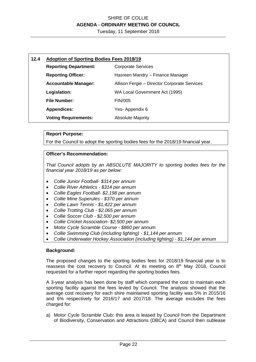Tuesday, 11 September 2018

| 12.4 | <b>Adoption of Sporting Bodies Fees 2018/19</b>               |                                              |  |
|------|---------------------------------------------------------------|----------------------------------------------|--|
|      | <b>Corporate Services</b><br><b>Reporting Department:</b>     |                                              |  |
|      | <b>Reporting Officer:</b><br>Hasreen Mandry - Finance Manager |                                              |  |
|      | <b>Accountable Manager:</b>                                   | Allison Fergie - Director Corporate Services |  |
|      | Legislation:                                                  | WA Local Government Act (1995)               |  |
|      | <b>File Number:</b>                                           | <b>FIN/005</b>                               |  |
|      | <b>Appendices:</b><br>Yes-Appendix 6                          |                                              |  |
|      | <b>Voting Requirements:</b>                                   | <b>Absolute Majority</b>                     |  |

#### **Report Purpose:**

For the Council to adopt the sporting bodies fees for the 2018/19 financial year.

#### **Officer's Recommendation:**

*That Council adopts by an ABSOLUTE MAJORITY to sporting bodies fees for the financial year 2018/19 as per below:* 

- *Collie Junior Football- \$314 per annum*
- *Collie River Athletics \$314 per annum*
- *Collie Eagles Football- \$2,198 per annum*
- *Collie Mine Superules \$370 per annum*
- *Collie Lawn Tennis \$1,422 per annum*
- *Collie Trotting Club \$2,065 per annum*
- *Collie Soccer Club \$2,500 per annum*
- *Collie Cricket Association- \$2,500 per annum*
- *Motor Cycle Scramble Course \$860 per annum*
- *Collie Swimming Club (including lighting) \$1,144 per annum*
- *Collie Underwater Hockey Association (including lighting) \$1,144 per annum*

#### **Background:**

The proposed changes to the sporting bodies fees for 2018/19 financial year is to reassess the cost recovery to Council. At its meeting on  $8<sup>th</sup>$  May 2018, Council requested for a further report regarding the sporting bodies fees.

A 3-year analysis has been done by staff which compared the cost to maintain each sporting facility against the fees levied by Council. The analysis showed that the average cost recovery for each shire maintained sporting facility was 5% in 2015/16 and 6% respectively for 2016/17 and 2017/18. The average excludes the fees charged for:

a) Motor Cycle Scramble Club: this area is leased by Council from the Department of Biodiversity, Conservation and Attractions (DBCA) and Council then sublease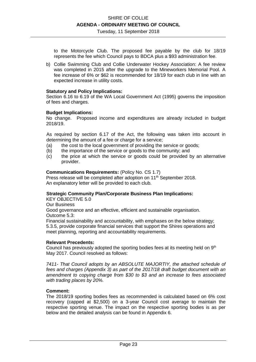Tuesday, 11 September 2018

to the Motorcycle Club. The proposed fee payable by the club for 18/19 represents the fee which Council pays to BDCA plus a \$93 administration fee.

b) Collie Swimming Club and Collie Underwater Hockey Association: A fee review was completed in 2015 after the upgrade to the Mineworkers Memorial Pool. A fee increase of 6% or \$62 is recommended for 18/19 for each club in line with an expected increase in utility costs.

#### **Statutory and Policy Implications:**

Section 6.16 to 6.19 of the WA Local Government Act (1995) governs the imposition of fees and charges.

#### **Budget Implications:**

No change. Proposed income and expenditures are already included in budget 2018/19.

As required by section 6.17 of the Act, the following was taken into account in determining the amount of a fee or charge for a service;

- (a) the cost to the local government of providing the service or goods;
- (b) the importance of the service or goods to the community; and
- (c) the price at which the service or goods could be provided by an alternative provider.

#### **Communications Requirements:** (Policy No. CS 1.7)

Press release will be completed after adoption on 11<sup>th</sup> September 2018. An explanatory letter will be provided to each club.

#### **Strategic Community Plan/Corporate Business Plan Implications:**

KEY OBJECTIVE 5.0

Our Business

Good governance and an effective, efficient and sustainable organisation. Outcome 5.3:

Financial sustainability and accountability, with emphases on the below strategy; 5.3.5, provide corporate financial services that support the Shires operations and meet planning, reporting and accountability requirements.

#### **Relevant Precedents:**

Council has previously adopted the sporting bodies fees at its meeting held on  $9<sup>th</sup>$ May 2017. Council resolved as follows:

*7411- That Council adopts by an ABSOLUTE MAJORTIY, the attached schedule of fees and charges (Appendix 3) as part of the 2017/18 draft budget document with an amendment to copying charge from \$30 to \$3 and an increase to fees associated with trading places by 20%.* 

#### **Comment:**

The 2018/19 sporting bodies fees as recommended is calculated based on 6% cost recovery (capped at \$2,500) on a 3-year Council cost average to maintain the respective sporting venue. The impact on the respective sporting bodies is as per below and the detailed analysis can be found in Appendix 6.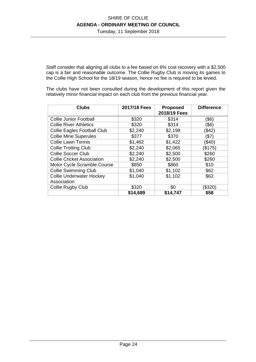Tuesday, 11 September 2018

Staff consider that aligning all clubs to a fee based on 6% cost recovery with a \$2,500 cap is a fair and reasonable outcome. The Collie Rugby Club is moving its games to the Collie High School for the 18/19 season, hence no fee is required to be levied.

The clubs have not been consulted during the development of this report given the relatively minor financial impact on each club from the previous financial year.

| <b>Clubs</b>                       | 2017/18 Fees | <b>Proposed</b> | <b>Difference</b> |
|------------------------------------|--------------|-----------------|-------------------|
|                                    |              | 2018/19 Fees    |                   |
| <b>Collie Junior Football</b>      | \$320        | \$314           | (\$6)             |
| <b>Collie River Athletics</b>      | \$320        | \$314           | (\$6)             |
| <b>Collie Eagles Football Club</b> | \$2,240      | \$2,198         | (\$42)            |
| <b>Collie Mine Superules</b>       | \$377        | \$370           | (\$7)             |
| <b>Collie Lawn Tennis</b>          | \$1,462      | \$1,422         | (\$40)            |
| <b>Collie Trotting Club</b>        | \$2,240      | \$2,065         | (\$175)           |
| <b>Collie Soccer Club</b>          | \$2,240      | \$2,500         | \$260             |
| <b>Collie Cricket Association</b>  | \$2,240      | \$2,500         | \$260             |
| Motor Cycle Scramble Course        | \$850        | \$860           | \$10              |
| <b>Collie Swimming Club</b>        | \$1,040      | \$1,102         | \$62              |
| <b>Collie Underwater Hockey</b>    | \$1,040      | \$1,102         | \$62              |
| Association                        |              |                 |                   |
| Collie Rugby Club                  | \$320        | \$0             | (\$320)           |
|                                    | \$14,689     | \$14,747        | \$58              |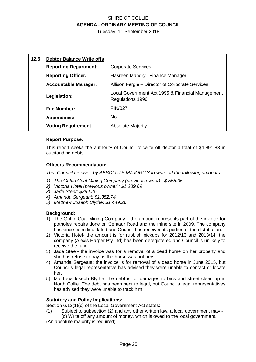Tuesday, 11 September 2018

| 12.5 | <b>Debtor Balance Write offs</b> |                                                                      |
|------|----------------------------------|----------------------------------------------------------------------|
|      | <b>Reporting Department:</b>     | <b>Corporate Services</b>                                            |
|      | <b>Reporting Officer:</b>        | Hasreen Mandry-Finance Manager                                       |
|      | <b>Accountable Manager:</b>      | Allison Fergie - Director of Corporate Services                      |
|      | Legislation:                     | Local Government Act 1995 & Financial Management<br>Regulations 1996 |
|      | <b>File Number:</b>              | <b>FIN/027</b>                                                       |
|      | <b>Appendices:</b>               | No.                                                                  |
|      | <b>Voting Requirement</b>        | <b>Absolute Majority</b>                                             |

#### **Report Purpose:**

This report seeks the authority of Council to write off debtor a total of \$4,891.83 in outstanding debts.

### **Officers Recommendation:**

*That Council resolves by ABSOLUTE MAJORITY to write off the following amounts:* 

- *1) The Griffin Coal Mining Company (previous owner): \$ 555.95*
- *2) Victoria Hotel (previous owner): \$1,239.69*
- *3) Jade Steer: \$294.25*
- *4) Amanda Sergeant: \$1,352.74*
- *5) Matthew Joseph Blythe: \$1,449.20*

#### **Background:**

- 1) The Griffin Coal Mining Company the amount represents part of the invoice for potholes repairs done on Centaur Road and the mine site in 2009. The company has since been liquidated and Council has received its portion of the distribution.
- 2) Victoria Hotel- the amount is for rubbish pickups for 2012/13 and 2013/14, the company (Alexis Harper Pty Ltd) has been deregistered and Council is unlikely to receive the fund.
- 3) Jade Steer- the invoice was for a removal of a dead horse on her property and she has refuse to pay as the horse was not hers.
- 4) Amanda Sergeant: the invoice is for removal of a dead horse in June 2015, but Council's legal representative has advised they were unable to contact or locate her.
- 5) Matthew Joseph Blythe: the debt is for damages to bins and street clean up in North Collie. The debt has been sent to legal, but Council's legal representatives has advised they were unable to track him.

#### **Statutory and Policy Implications:**

Section 6.12(1)(c) of the Local Government Act states: -

(1) Subject to subsection (2) and any other written law, a local government may - (c) Write off any amount of money, which is owed to the local government.

(An absolute majority is required)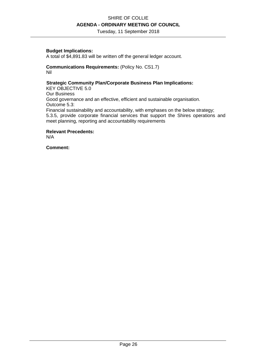Tuesday, 11 September 2018

#### **Budget Implications:**

A total of \$4,891.83 will be written off the general ledger account.

#### **Communications Requirements:** (Policy No. CS1.7) Nil

#### **Strategic Community Plan/Corporate Business Plan Implications:**

KEY OBJECTIVE 5.0 Our Business Good governance and an effective, efficient and sustainable organisation. Outcome 5.3: Financial sustainability and accountability, with emphases on the below strategy; 5.3.5, provide corporate financial services that support the Shires operations and meet planning, reporting and accountability requirements

**Relevant Precedents:**  N/A

**Comment:**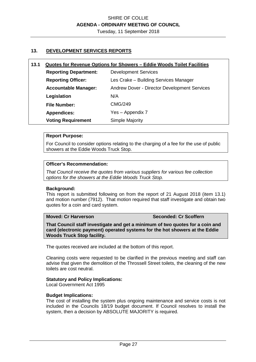Tuesday, 11 September 2018

#### **13. DEVELOPMENT SERVICES REPORTS**

#### **13.1 Quotes for Revenue Options for Showers – Eddie Woods Toilet Facilities**

| <b>Reporting Department:</b> | <b>Development Services</b>                         |
|------------------------------|-----------------------------------------------------|
| <b>Reporting Officer:</b>    | Les Crake - Building Services Manager               |
| <b>Accountable Manager:</b>  | <b>Andrew Dover - Director Development Services</b> |
| Legislation                  | N/A                                                 |
| <b>File Number:</b>          | CMG/249                                             |
| <b>Appendices:</b>           | Yes - Appendix 7                                    |
| <b>Voting Requirement</b>    | Simple Majority                                     |

#### **Report Purpose:**

For Council to consider options relating to the charging of a fee for the use of public showers at the Eddie Woods Truck Stop.

#### **Officer's Recommendation:**

*That Council receive the quotes from various suppliers for various fee collection options for the showers at the Eddie Woods Truck Stop.* 

#### **Background:**

This report is submitted following on from the report of 21 August 2018 (item 13.1) and motion number (7912). That motion required that staff investigate and obtain two quotes for a coin and card system.

**Moved: Cr Harverson Seconded: Cr Scoffern** 

**That Council staff investigate and get a minimum of two quotes for a coin and card (electronic payment) operated systems for the hot showers at the Eddie Woods Truck Stop facility.** 

The quotes received are included at the bottom of this report.

Cleaning costs were requested to be clarified in the previous meeting and staff can advise that given the demolition of the Throssell Street toilets, the cleaning of the new toilets are cost neutral.

#### **Statutory and Policy Implications:**

Local Government Act 1995

#### **Budget Implications:**

The cost of installing the system plus ongoing maintenance and service costs is not included in the Councils 18/19 budget document. If Council resolves to install the system, then a decision by ABSOLUTE MAJORITY is required.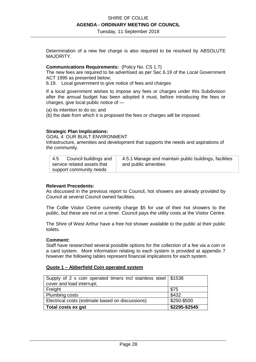Tuesday, 11 September 2018

Determination of a new fee charge is also required to be resolved by ABSOLUTE MAJORITY.

#### **Communications Requirements:** (Policy No. CS 1.7)

The new fees are required to be advertised as per Sec 6.19 of the Local Government ACT 1995 as presented below;

6.19. Local government to give notice of fees and charges

If a local government wishes to impose any fees or charges under this Subdivision after the annual budget has been adopted it must, before introducing the fees or charges, give local public notice of —

(a) its intention to do so; and

(b) the date from which it is proposed the fees or charges will be imposed.

#### **Strategic Plan Implications:**

GOAL 4: OUR BUILT ENVIRONMENT

Infrastructure, amenities and development that supports the needs and aspirations of the community.

| Council buildings and<br>4.5 | 4.5.1 Manage and maintain public buildings, facilities |
|------------------------------|--------------------------------------------------------|
| service related assets that  | and public amenities                                   |
| support community needs      |                                                        |

#### **Relevant Precedents:**

As discussed in the previous report to Council, hot showers are already provided by Council at several Council owned facilities.

The Collie Visitor Centre currently charge \$5 for use of their hot showers to the public, but these are not on a timer. Council pays the utility costs at the Visitor Centre.

The Shire of West Arthur have a free hot shower available to the public at their public toilets.

#### **Comment:**

Staff have researched several possible options for the collection of a fee via a coin or a card system. More information relating to each system is provided at appendix 7 however the following tables represent financial implications for each system.

#### **Quote 1 – Abberfield Coin operated system**

| Supply of 2 x coin operated timers incl stainless steel $\frac{1}{2}$ \$1538 |               |
|------------------------------------------------------------------------------|---------------|
| cover and load interrupt;                                                    |               |
| Freight                                                                      | \$75          |
| <b>Plumbing costs</b>                                                        | \$432         |
| Electrical costs (estimate based on discussions)                             | \$250-\$500   |
| Total costs ex gst                                                           | \$2295-\$2545 |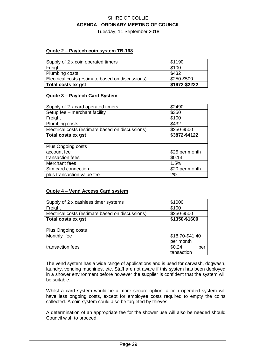Tuesday, 11 September 2018

#### **Quote 2 – Paytech coin system TB-168**

| Supply of 2 x coin operated timers               | \$1190        |
|--------------------------------------------------|---------------|
| Freight                                          | \$100         |
| Plumbing costs                                   | \$432         |
| Electrical costs (estimate based on discussions) | \$250-\$500   |
| Total costs ex gst                               | \$1972-\$2222 |

#### **Quote 3 – Paytech Card System**

| Supply of 2 x card operated timers               | \$2490         |
|--------------------------------------------------|----------------|
| Setup fee - merchant facility                    | \$350          |
| Freight                                          | \$100          |
| Plumbing costs                                   | \$432          |
| Electrical costs (estimate based on discussions) | \$250-\$500    |
| <b>Total costs ex gst</b>                        | \$3872-\$4122  |
|                                                  |                |
| <b>Plus Ongoing costs</b>                        |                |
| account fee                                      | \$25 per month |
| transaction fees                                 | \$0.13         |
| Merchant fees                                    | 1.5%           |
| Sim card connection                              | \$20 per month |
| plus transaction value fee                       | 2%             |

#### **Quote 4 – Vend Access Card system**

| Supply of 2 x cashless timer systems             | \$1000          |
|--------------------------------------------------|-----------------|
| Freight                                          | \$100           |
| Electrical costs (estimate based on discussions) | \$250-\$500     |
| Total costs ex gst                               | \$1350-\$1600   |
|                                                  |                 |
| Plus Ongoing costs                               |                 |
| Monthly fee                                      | \$18.70-\$41.40 |
|                                                  | per month       |
| transaction fees                                 | \$0.24<br>per   |
|                                                  | tansaction      |

The vend system has a wide range of applications and is used for carwash, dogwash, laundry, vending machines, etc. Staff are not aware if this system has been deployed in a shower environment before however the supplier is confident that the system will be suitable.

Whilst a card system would be a more secure option, a coin operated system will have less ongoing costs, except for employee costs required to empty the coins collected. A coin system could also be targeted by thieves.

A determination of an appropriate fee for the shower use will also be needed should Council wish to proceed.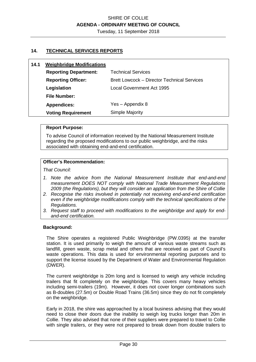Tuesday, 11 September 2018

#### **14. TECHNICAL SERVICES REPORTS**

| 14.1 | <b>Weighbridge Modifications</b> |                                                    |
|------|----------------------------------|----------------------------------------------------|
|      | <b>Reporting Department:</b>     | <b>Technical Services</b>                          |
|      | <b>Reporting Officer:</b>        | <b>Brett Lowcock – Director Technical Services</b> |
|      | Legislation                      | Local Government Act 1995                          |
|      | <b>File Number:</b>              |                                                    |
|      | <b>Appendices:</b>               | Yes - Appendix 8                                   |
|      | <b>Voting Requirement</b>        | <b>Simple Majority</b>                             |

#### **Report Purpose:**

To advise Council of information received by the National Measurement Institute regarding the proposed modifications to our public weighbridge, and the risks associated with obtaining end-and-end certification.

#### **Officer's Recommendation:**

*That Council:* 

- *1. Note the advice from the National Measurement Institute that end-and-end measurement DOES NOT comply with National Trade Measurement Regulations 2009 (the Regulations), but they will consider an application from the Shire of Collie*
- *2. Recognise the risks involved in potentially not receiving end-and-end certification even if the weighbridge modifications comply with the technical specifications of the Regulations.*
- *3. Request staff to proceed with modifications to the weighbridge and apply for endand-end certification.*

#### **Background:**

The Shire operates a registered Public Weighbridge (PW.0395) at the transfer station. It is used primarily to weigh the amount of various waste streams such as landfill, green waste, scrap metal and others that are received as part of Council's waste operations. This data is used for environmental reporting purposes and to support the license issued by the Department of Water and Environmental Regulation (DWER).

The current weighbridge is 20m long and is licensed to weigh any vehicle including trailers that fit completely on the weighbridge. This covers many heavy vehicles including semi-trailers (19m). However, it does not cover longer combinations such as B-doubles (27.5m) or Double Road Trains (36.5m) since they do not fit completely on the weighbridge.

Early in 2018, the shire was approached by a local business advising that they would need to close their doors due the inability to weigh log trucks longer than 20m in Collie. They also advised that none of their suppliers were prepared to travel to Collie with single trailers, or they were not prepared to break down from double trailers to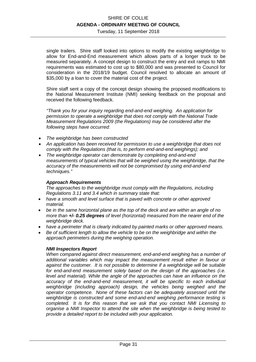Tuesday, 11 September 2018

single trailers. Shire staff looked into options to modify the existing weighbridge to allow for End-and-End measurement which allows parts of a longer truck to be measured separately. A concept design to construct the entry and exit ramps to NMI requirements was estimated to cost up to \$80,000 and was presented to Council for consideration in the 2018/19 budget. Council resolved to allocate an amount of \$35,000 by a loan to cover the material cost of the project.

Shire staff sent a copy of the concept design showing the proposed modifications to the National Measurement Institute (NMI) seeking feedback on the proposal and received the following feedback.

*"Thank you for your inquiry regarding end-and-end weighing. An application for permission to operate a weighbridge that does not comply with the National Trade Measurement Regulations 2009 (the Regulations) may be considered after the following steps have occurred:* 

- *The weighbridge has been constructed*
- *An application has been received for permission to use a weighbridge that does not comply with the Regulations (that is, to perform end-and-end weighings); and*
- *The weighbridge operator can demonstrate by completing end-and-end measurements of typical vehicles that will be weighed using the weighbridge, that the accuracy of the measurements will not be compromised by using end-and-end techniques."*

#### *Approach Requirements*

*The approaches to the weighbridge must comply with the Regulations, including Regulations 3.11 and 3.4 which in summary state that:* 

- *have a smooth and level surface that is paved with concrete or other approved material.*
- *be in the same horizontal plane as the top of the deck and are within an angle of no more than +/- 0.25 degrees of level (horizontal) measured from the nearer end of the weighbridge deck.*
- *have a perimeter that is clearly indicated by painted marks or other approved means.*
- *Be of sufficient length to allow the vehicle to be on the weighbridge and within the approach perimeters during the weighing operation.*

#### *NMI Inspectors Report*

*When compared against direct measurement, end-and-end weighing has a number of additional variables which may impact the measurement result either in favour or against the customer. It is not possible to determine if a weighbridge will be suitable for end-and-end measurement solely based on the design of the approaches (i.e. level and material). While the angle of the approaches can have an influence on the accuracy of the end-and-end measurement, it will be specific to each individual weighbridge (including approach) design, the vehicles being weighed and the operator competence. None of these factors can be adequately assessed until the weighbridge is constructed and some end-and-end weighing performance testing is completed. It is for this reason that we ask that you contact NMI Licensing to organise a NMI Inspector to attend the site when the weighbridge is being tested to provide a detailed report to be included with your application.*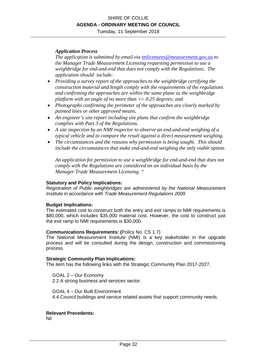Tuesday, 11 September 2018

#### *Application Process*

*The application is submitted by email via tmlicensees@measurement.gov.au to the Manager Trade Measurement Licensing requesting permission to use a weighbridge for end-and-end that does not comply with the Regulations. The application should include:* 

- *Providing a survey report of the approaches to the weighbridge certifying the construction material and length comply with the requirements of the regulations and confirming the approaches are within the same plane as the weighbridge platform with an angle of no more than +/- 0.25 degrees; and*
- *Photographs confirming the perimeter of the approaches are clearly marked by painted lines or other approved means.*
- *An engineer's site report including site plans that confirm the weighbridge complies with Part 3 of the Regulations.*
- *A site inspection by an NMI inspector to observe an end-and-end weighing of a typical vehicle and to compare the result against a direct measurement weighing.*
- *The circumstances and the reasons why permission is being sought. This should include the circumstances that make end-and-end weighing the only viable option.*

*An application for permission to use a weighbridge for end-and-end that does not comply with the Regulations are considered on an individual basis by the Manager Trade Measurement Licensing. "* 

#### **Statutory and Policy Implications:**

*Registration of Public weighbridges are administered by the National Measurement Institute in accordance with Trade Measurement Regulations 2009* 

#### **Budget Implications:**

The estimated cost to construct both the entry and exit ramps to NMI requirements is \$80,000, which includes \$35,000 material cost. However, the cost to construct just the exit ramp to NMI requirements is \$30,000.

#### **Communications Requirements: (**Policy No. CS 1.7)

The National Measurement Institute (NMI) is a key stakeholder in the upgrade process and will be consulted during the design, construction and commissioning process.

#### **Strategic Community Plan Implications:**

The item has the following links with the Strategic Community Plan 2017-2027.

GOAL 2 – Our Economy 2.2 A strong business and services sector.

GOAL 4 – Our Built Environment 4.4 Council buildings and service related assets that support community needs.

#### **Relevant Precedents:**

Nil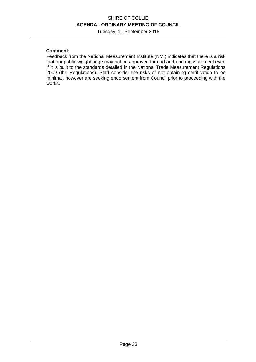Tuesday, 11 September 2018

#### **Comment:**

Feedback from the National Measurement Institute (NMI) indicates that there is a risk that our public weighbridge may not be approved for end-and-end measurement even if it is built to the standards detailed in the National Trade Measurement Regulations 2009 (the Regulations). Staff consider the risks of not obtaining certification to be minimal, however are seeking endorsement from Council prior to proceeding with the works.